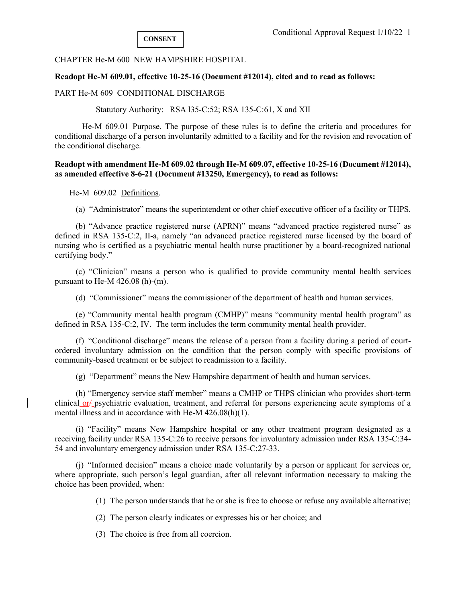CHAPTER He-M 600 NEW HAMPSHIRE HOSPITAL

### **Readopt He-M 609.01, effective 10-25-16 (Document #12014), cited and to read as follows:**

PART He-M 609 CONDITIONAL DISCHARGE

Statutory Authority: RSA l35-C:52; RSA 135-C:61, X and XII

 He-M 609.01 Purpose. The purpose of these rules is to define the criteria and procedures for conditional discharge of a person involuntarily admitted to a facility and for the revision and revocation of the conditional discharge.

### **Readopt with amendment He-M 609.02 through He-M 609.07, effective 10-25-16 (Document #12014), as amended effective 8-6-21 (Document #13250, Emergency), to read as follows:**

He-M 609.02 Definitions.

(a) "Administrator" means the superintendent or other chief executive officer of a facility or THPS.

 (b) "Advance practice registered nurse (APRN)" means "advanced practice registered nurse" as defined in RSA 135-C:2, II-a, namely "an advanced practice registered nurse licensed by the board of nursing who is certified as a psychiatric mental health nurse practitioner by a board-recognized national certifying body."

 (c) "Clinician" means a person who is qualified to provide community mental health services pursuant to He-M 426.08 (h)-(m).

(d) "Commissioner" means the commissioner of the department of health and human services.

 (e) "Community mental health program (CMHP)" means "community mental health program" as defined in RSA 135-C:2, IV. The term includes the term community mental health provider.

 (f) "Conditional discharge" means the release of a person from a facility during a period of courtordered involuntary admission on the condition that the person comply with specific provisions of community-based treatment or be subject to readmission to a facility.

(g) "Department" means the New Hampshire department of health and human services.

 (h) "Emergency service staff member" means a CMHP or THPS clinician who provides short-term clinical or  $\epsilon$  psychiatric evaluation, treatment, and referral for persons experiencing acute symptoms of a mental illness and in accordance with He-M 426.08(h)(1).

 (i) "Facility" means New Hampshire hospital or any other treatment program designated as a receiving facility under RSA 135-C:26 to receive persons for involuntary admission under RSA 135-C:34- 54 and involuntary emergency admission under RSA 135-C:27-33.

 (j) "Informed decision" means a choice made voluntarily by a person or applicant for services or, where appropriate, such person's legal guardian, after all relevant information necessary to making the choice has been provided, when:

(1) The person understands that he or she is free to choose or refuse any available alternative;

(2) The person clearly indicates or expresses his or her choice; and

(3) The choice is free from all coercion.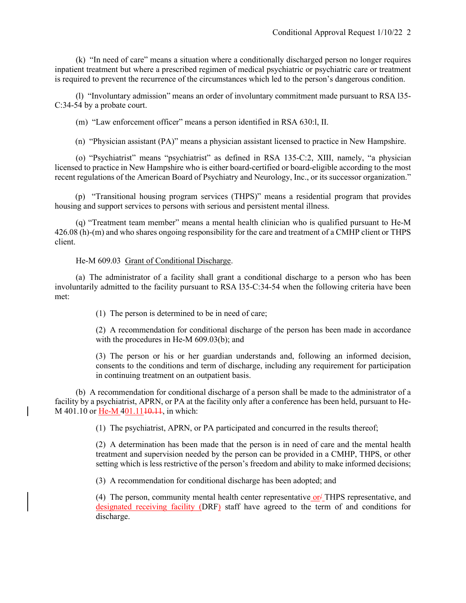(k) "In need of care" means a situation where a conditionally discharged person no longer requires inpatient treatment but where a prescribed regimen of medical psychiatric or psychiatric care or treatment is required to prevent the recurrence of the circumstances which led to the person's dangerous condition.

 (l) "Involuntary admission" means an order of involuntary commitment made pursuant to RSA l35- C:34-54 by a probate court.

(m) "Law enforcement officer" means a person identified in RSA 630:l, II.

(n) "Physician assistant (PA)" means a physician assistant licensed to practice in New Hampshire.

 (o) "Psychiatrist" means "psychiatrist" as defined in RSA 135-C:2, XIII, namely, "a physician licensed to practice in New Hampshire who is either board-certified or board-eligible according to the most recent regulations of the American Board of Psychiatry and Neurology, Inc., or its successor organization."

(p) "Transitional housing program services (THPS)" means a residential program that provides housing and support services to persons with serious and persistent mental illness.

 (q) "Treatment team member" means a mental health clinician who is qualified pursuant to He-M 426.08 (h)-(m) and who shares ongoing responsibility for the care and treatment of a CMHP client or THPS client.

## He-M 609.03 Grant of Conditional Discharge.

 (a) The administrator of a facility shall grant a conditional discharge to a person who has been involuntarily admitted to the facility pursuant to RSA l35-C:34-54 when the following criteria have been met:

(1) The person is determined to be in need of care;

(2) A recommendation for conditional discharge of the person has been made in accordance with the procedures in He-M 609.03(b); and

(3) The person or his or her guardian understands and, following an informed decision, consents to the conditions and term of discharge, including any requirement for participation in continuing treatment on an outpatient basis.

 (b) A recommendation for conditional discharge of a person shall be made to the administrator of a facility by a psychiatrist, APRN, or PA at the facility only after a conference has been held, pursuant to He-M 401.10 or He-M 401.11<del>10.11</del>, in which:

(1) The psychiatrist, APRN, or PA participated and concurred in the results thereof;

(2) A determination has been made that the person is in need of care and the mental health treatment and supervision needed by the person can be provided in a CMHP, THPS, or other setting which is less restrictive of the person's freedom and ability to make informed decisions;

(3) A recommendation for conditional discharge has been adopted; and

(4) The person, community mental health center representative or  $\angle$  THPS representative, and designated receiving facility (DRF) staff have agreed to the term of and conditions for discharge.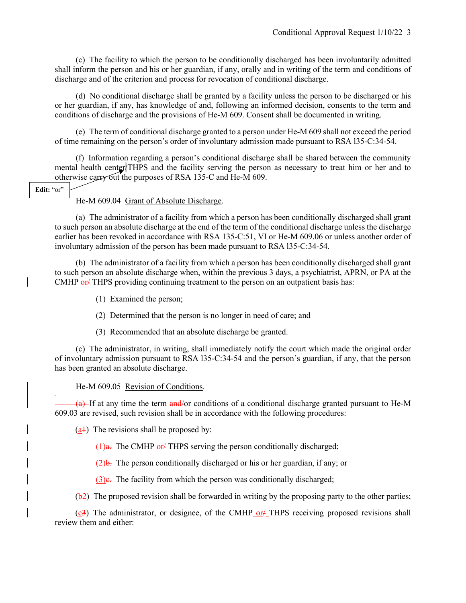(c) The facility to which the person to be conditionally discharged has been involuntarily admitted shall inform the person and his or her guardian, if any, orally and in writing of the term and conditions of discharge and of the criterion and process for revocation of conditional discharge.

 (d) No conditional discharge shall be granted by a facility unless the person to be discharged or his or her guardian, if any, has knowledge of and, following an informed decision, consents to the term and conditions of discharge and the provisions of He-M 609. Consent shall be documented in writing.

 (e) The term of conditional discharge granted to a person under He-M 609 shall not exceed the period of time remaining on the person's order of involuntary admission made pursuant to RSA l35-C:34-54.

 (f) Information regarding a person's conditional discharge shall be shared between the community mental health center/THPS and the facility serving the person as necessary to treat him or her and to otherwise carry out the purposes of RSA 135-C and He-M 609.

### Edit: "or"

He-M 609.04 Grant of Absolute Discharge.

 (a) The administrator of a facility from which a person has been conditionally discharged shall grant to such person an absolute discharge at the end of the term of the conditional discharge unless the discharge earlier has been revoked in accordance with RSA 135-C:51, VI or He-M 609.06 or unless another order of involuntary admission of the person has been made pursuant to RSA l35-C:34-54.

 (b) The administrator of a facility from which a person has been conditionally discharged shall grant to such person an absolute discharge when, within the previous 3 days, a psychiatrist, APRN, or PA at the CMHP or  $\angle$  THPS providing continuing treatment to the person on an outpatient basis has:

(1) Examined the person;

(2) Determined that the person is no longer in need of care; and

(3) Recommended that an absolute discharge be granted.

 (c) The administrator, in writing, shall immediately notify the court which made the original order of involuntary admission pursuant to RSA l35-C:34-54 and the person's guardian, if any, that the person has been granted an absolute discharge.

He-M 609.05 Revision of Conditions.

 $\overline{+a}$  If at any time the term  $\overline{a}$  nd  $\overline{a}$  conditions of a conditional discharge granted pursuant to He-M 609.03 are revised, such revision shall be in accordance with the following procedures:

 $(a+1)$  The revisions shall be proposed by:

(1) $\theta$ . The CMHP or THPS serving the person conditionally discharged;

 $(2)$ b. The person conditionally discharged or his or her guardian, if any; or

 $(3)$ e. The facility from which the person was conditionally discharged;

(b2) The proposed revision shall be forwarded in writing by the proposing party to the other parties;

 $(c3)$  The administrator, or designee, of the CMHP or  $\#$  THPS receiving proposed revisions shall review them and either: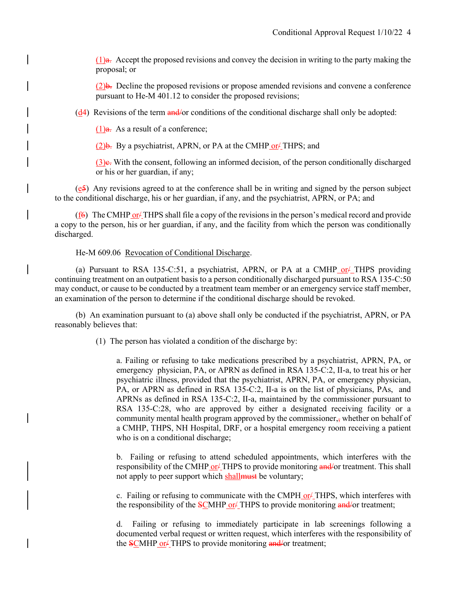$(1)$ a. Accept the proposed revisions and convey the decision in writing to the party making the proposal; or

(2)b. Decline the proposed revisions or propose amended revisions and convene a conference pursuant to He-M 401.12 to consider the proposed revisions;

(d4) Revisions of the term and/or conditions of the conditional discharge shall only be adopted:

 $(1)$ a. As a result of a conference;

 $(2)$ b. By a psychiatrist, APRN, or PA at the CMHP or THPS; and

 $(3)$ e. With the consent, following an informed decision, of the person conditionally discharged or his or her guardian, if any;

(e5) Any revisions agreed to at the conference shall be in writing and signed by the person subject to the conditional discharge, his or her guardian, if any, and the psychiatrist, APRN, or PA; and

( $f\hat{\theta}$ ) The CMHP or  $\hat{\theta}$  THPS shall file a copy of the revisions in the person's medical record and provide a copy to the person, his or her guardian, if any, and the facility from which the person was conditionally discharged.

He-M 609.06 Revocation of Conditional Discharge.

(a) Pursuant to RSA 135-C:51, a psychiatrist, APRN, or PA at a CMHP or  $\ell$  THPS providing continuing treatment on an outpatient basis to a person conditionally discharged pursuant to RSA 135-C:50 may conduct, or cause to be conducted by a treatment team member or an emergency service staff member, an examination of the person to determine if the conditional discharge should be revoked.

 (b) An examination pursuant to (a) above shall only be conducted if the psychiatrist, APRN, or PA reasonably believes that:

(1) The person has violated a condition of the discharge by:

a. Failing or refusing to take medications prescribed by a psychiatrist, APRN, PA, or emergency physician, PA, or APRN as defined in RSA 135-C:2, II-a, to treat his or her psychiatric illness, provided that the psychiatrist, APRN, PA, or emergency physician, PA, or APRN as defined in RSA 135-C:2, II-a is on the list of physicians, PAs, and APRNs as defined in RSA 135-C:2, II-a, maintained by the commissioner pursuant to RSA 135-C:28, who are approved by either a designated receiving facility or a community mental health program approved by the commissioner, $\frac{1}{2}$ , whether on behalf of a CMHP, THPS, NH Hospital, DRF, or a hospital emergency room receiving a patient who is on a conditional discharge;

b. Failing or refusing to attend scheduled appointments, which interferes with the responsibility of the CMHP or  $/$  THPS to provide monitoring and or treatment. This shall not apply to peer support which shall must be voluntary;

c. Failing or refusing to communicate with the CMPH or  $\angle$  THPS, which interferes with the responsibility of the SCMHP or IHPS to provide monitoring and/or treatment;

d. Failing or refusing to immediately participate in lab screenings following a documented verbal request or written request, which interferes with the responsibility of the SCMHP or<sup>1</sup> THPS to provide monitoring and/or treatment;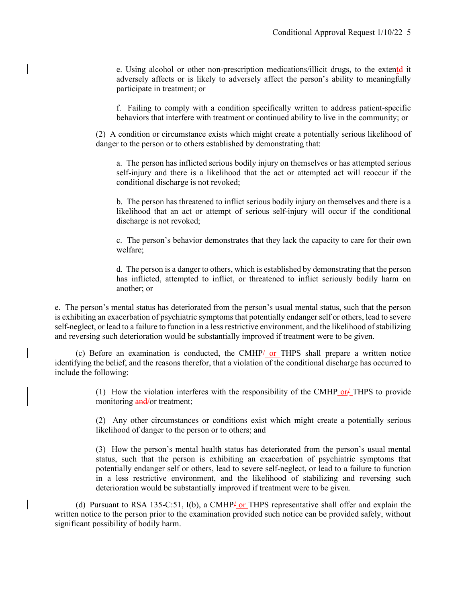e. Using alcohol or other non-prescription medications/illicit drugs, to the extentd it adversely affects or is likely to adversely affect the person's ability to meaningfully participate in treatment; or

f. Failing to comply with a condition specifically written to address patient-specific behaviors that interfere with treatment or continued ability to live in the community; or

(2) A condition or circumstance exists which might create a potentially serious likelihood of danger to the person or to others established by demonstrating that:

a. The person has inflicted serious bodily injury on themselves or has attempted serious self-injury and there is a likelihood that the act or attempted act will reoccur if the conditional discharge is not revoked;

b. The person has threatened to inflict serious bodily injury on themselves and there is a likelihood that an act or attempt of serious self-injury will occur if the conditional discharge is not revoked;

c. The person's behavior demonstrates that they lack the capacity to care for their own welfare;

d. The person is a danger to others, which is established by demonstrating that the person has inflicted, attempted to inflict, or threatened to inflict seriously bodily harm on another; or

e. The person's mental status has deteriorated from the person's usual mental status, such that the person is exhibiting an exacerbation of psychiatric symptoms that potentially endanger self or others, lead to severe self-neglect, or lead to a failure to function in a less restrictive environment, and the likelihood of stabilizing and reversing such deterioration would be substantially improved if treatment were to be given.

(c) Before an examination is conducted, the CMHP $\neq$  or THPS shall prepare a written notice identifying the belief, and the reasons therefor, that a violation of the conditional discharge has occurred to include the following:

> (1) How the violation interferes with the responsibility of the CMHP or  $\angle$  THPS to provide monitoring and/or treatment;

> (2) Any other circumstances or conditions exist which might create a potentially serious likelihood of danger to the person or to others; and

> (3) How the person's mental health status has deteriorated from the person's usual mental status, such that the person is exhibiting an exacerbation of psychiatric symptoms that potentially endanger self or others, lead to severe self-neglect, or lead to a failure to function in a less restrictive environment, and the likelihood of stabilizing and reversing such deterioration would be substantially improved if treatment were to be given.

(d) Pursuant to RSA 135-C:51,  $I(b)$ , a CMHP or THPS representative shall offer and explain the written notice to the person prior to the examination provided such notice can be provided safely, without significant possibility of bodily harm.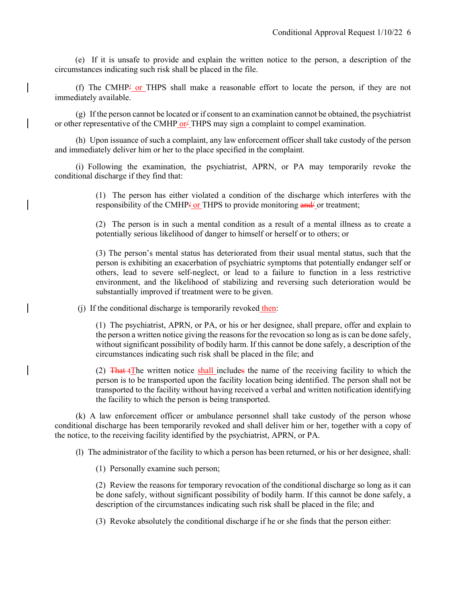(e) If it is unsafe to provide and explain the written notice to the person, a description of the circumstances indicating such risk shall be placed in the file.

 (f) The CMHP/ or THPS shall make a reasonable effort to locate the person, if they are not immediately available.

 (g) If the person cannot be located or if consent to an examination cannot be obtained, the psychiatrist or other representative of the CMHP or  $/$  THPS may sign a complaint to compel examination.

 (h) Upon issuance of such a complaint, any law enforcement officer shall take custody of the person and immediately deliver him or her to the place specified in the complaint.

 (i) Following the examination, the psychiatrist, APRN, or PA may temporarily revoke the conditional discharge if they find that:

> (1) The person has either violated a condition of the discharge which interferes with the responsibility of the CMHP<sup>1</sup> or THPS to provide monitoring and<sup>*j*</sup> or treatment;

> (2) The person is in such a mental condition as a result of a mental illness as to create a potentially serious likelihood of danger to himself or herself or to others; or

> (3) The person's mental status has deteriorated from their usual mental status, such that the person is exhibiting an exacerbation of psychiatric symptoms that potentially endanger self or others, lead to severe self-neglect, or lead to a failure to function in a less restrictive environment, and the likelihood of stabilizing and reversing such deterioration would be substantially improved if treatment were to be given.

(j) If the conditional discharge is temporarily revoked then:

(1) The psychiatrist, APRN, or PA, or his or her designee, shall prepare, offer and explain to the person a written notice giving the reasons for the revocation so long as is can be done safely, without significant possibility of bodily harm. If this cannot be done safely, a description of the circumstances indicating such risk shall be placed in the file; and

(2)  $\frac{2}{\pi}$  That tThe written notice shall includes the name of the receiving facility to which the person is to be transported upon the facility location being identified. The person shall not be transported to the facility without having received a verbal and written notification identifying the facility to which the person is being transported.

 (k) A law enforcement officer or ambulance personnel shall take custody of the person whose conditional discharge has been temporarily revoked and shall deliver him or her, together with a copy of the notice, to the receiving facility identified by the psychiatrist, APRN, or PA.

(l) The administrator of the facility to which a person has been returned, or his or her designee, shall:

(1) Personally examine such person;

(2) Review the reasons for temporary revocation of the conditional discharge so long as it can be done safely, without significant possibility of bodily harm. If this cannot be done safely, a description of the circumstances indicating such risk shall be placed in the file; and

(3) Revoke absolutely the conditional discharge if he or she finds that the person either: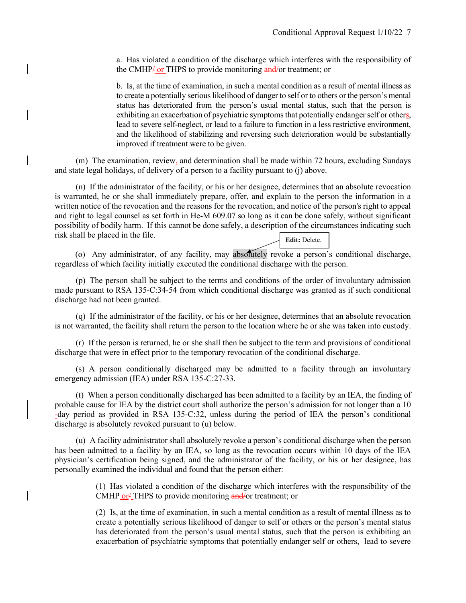a. Has violated a condition of the discharge which interferes with the responsibility of the CMHP/ or THPS to provide monitoring and/or treatment; or

b. Is, at the time of examination, in such a mental condition as a result of mental illness as to create a potentially serious likelihood of danger to self or to others or the person's mental status has deteriorated from the person's usual mental status, such that the person is exhibiting an exacerbation of psychiatric symptoms that potentially endanger self or others, lead to severe self-neglect, or lead to a failure to function in a less restrictive environment, and the likelihood of stabilizing and reversing such deterioration would be substantially improved if treatment were to be given.

 (m) The examination, review, and determination shall be made within 72 hours, excluding Sundays and state legal holidays, of delivery of a person to a facility pursuant to (j) above.

 (n) If the administrator of the facility, or his or her designee, determines that an absolute revocation is warranted, he or she shall immediately prepare, offer, and explain to the person the information in a written notice of the revocation and the reasons for the revocation, and notice of the person's right to appeal and right to legal counsel as set forth in He-M 609.07 so long as it can be done safely, without significant possibility of bodily harm. If this cannot be done safely, a description of the circumstances indicating such risk shall be placed in the file. **Edit:** Delete.

(o) Any administrator, of any facility, may absolutely revoke a person's conditional discharge, regardless of which facility initially executed the conditional discharge with the person.

 (p) The person shall be subject to the terms and conditions of the order of involuntary admission made pursuant to RSA 135-C:34-54 from which conditional discharge was granted as if such conditional discharge had not been granted.

 (q) If the administrator of the facility, or his or her designee, determines that an absolute revocation is not warranted, the facility shall return the person to the location where he or she was taken into custody.

 (r) If the person is returned, he or she shall then be subject to the term and provisions of conditional discharge that were in effect prior to the temporary revocation of the conditional discharge.

 (s) A person conditionally discharged may be admitted to a facility through an involuntary emergency admission (IEA) under RSA 135-C:27-33.

 (t) When a person conditionally discharged has been admitted to a facility by an IEA, the finding of probable cause for IEA by the district court shall authorize the person's admission for not longer than a 10 -day period as provided in RSA 135-C:32, unless during the period of IEA the person's conditional discharge is absolutely revoked pursuant to (u) below.

 (u) A facility administrator shall absolutely revoke a person's conditional discharge when the person has been admitted to a facility by an IEA, so long as the revocation occurs within 10 days of the IEA physician's certification being signed, and the administrator of the facility, or his or her designee, has personally examined the individual and found that the person either:

> (1) Has violated a condition of the discharge which interferes with the responsibility of the CMHP or FTHPS to provide monitoring and/or treatment; or

> (2) Is, at the time of examination, in such a mental condition as a result of mental illness as to create a potentially serious likelihood of danger to self or others or the person's mental status has deteriorated from the person's usual mental status, such that the person is exhibiting an exacerbation of psychiatric symptoms that potentially endanger self or others, lead to severe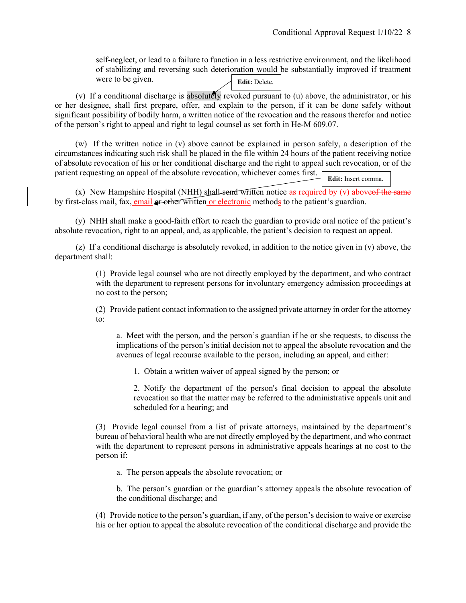self-neglect, or lead to a failure to function in a less restrictive environment, and the likelihood of stabilizing and reversing such deterioration would be substantially improved if treatment were to be given. **Edit:** Delete.

(v) If a conditional discharge is absolutely revoked pursuant to (u) above, the administrator, or his or her designee, shall first prepare, offer, and explain to the person, if it can be done safely without significant possibility of bodily harm, a written notice of the revocation and the reasons therefor and notice of the person's right to appeal and right to legal counsel as set forth in He-M 609.07.

(w) If the written notice in (v) above cannot be explained in person safely, a description of the circumstances indicating such risk shall be placed in the file within 24 hours of the patient receiving notice of absolute revocation of his or her conditional discharge and the right to appeal such revocation, or of the patient requesting an appeal of the absolute revocation, whichever comes first.

**Edit:** Insert comma.

(x) New Hampshire Hospital (NHH) shall send written notice as required by  $(v)$  above of the same by first-class mail, fax, email or other written or electronic methods to the patient's guardian.

(y) NHH shall make a good-faith effort to reach the guardian to provide oral notice of the patient's absolute revocation, right to an appeal, and, as applicable, the patient's decision to request an appeal.

 (z) If a conditional discharge is absolutely revoked, in addition to the notice given in (v) above, the department shall:

> (1) Provide legal counsel who are not directly employed by the department, and who contract with the department to represent persons for involuntary emergency admission proceedings at no cost to the person;

> (2) Provide patient contact information to the assigned private attorney in order for the attorney to:

a. Meet with the person, and the person's guardian if he or she requests, to discuss the implications of the person's initial decision not to appeal the absolute revocation and the avenues of legal recourse available to the person, including an appeal, and either:

1. Obtain a written waiver of appeal signed by the person; or

2. Notify the department of the person's final decision to appeal the absolute revocation so that the matter may be referred to the administrative appeals unit and scheduled for a hearing; and

(3) Provide legal counsel from a list of private attorneys, maintained by the department's bureau of behavioral health who are not directly employed by the department, and who contract with the department to represent persons in administrative appeals hearings at no cost to the person if:

a. The person appeals the absolute revocation; or

b. The person's guardian or the guardian's attorney appeals the absolute revocation of the conditional discharge; and

(4) Provide notice to the person's guardian, if any, of the person's decision to waive or exercise his or her option to appeal the absolute revocation of the conditional discharge and provide the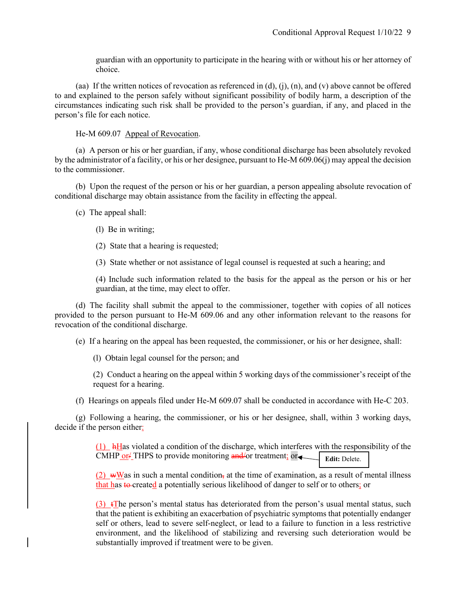guardian with an opportunity to participate in the hearing with or without his or her attorney of choice.

(aa) If the written notices of revocation as referenced in (d), (j), (n), and (v) above cannot be offered to and explained to the person safely without significant possibility of bodily harm, a description of the circumstances indicating such risk shall be provided to the person's guardian, if any, and placed in the person's file for each notice.

He-M 609.07 Appeal of Revocation.

 (a) A person or his or her guardian, if any, whose conditional discharge has been absolutely revoked by the administrator of a facility, or his or her designee, pursuant to He-M 609.06(j) may appeal the decision to the commissioner.

 (b) Upon the request of the person or his or her guardian, a person appealing absolute revocation of conditional discharge may obtain assistance from the facility in effecting the appeal.

(c) The appeal shall:

- (l) Be in writing;
- (2) State that a hearing is requested;

(3) State whether or not assistance of legal counsel is requested at such a hearing; and

(4) Include such information related to the basis for the appeal as the person or his or her guardian, at the time, may elect to offer.

 (d) The facility shall submit the appeal to the commissioner, together with copies of all notices provided to the person pursuant to He-M 609.06 and any other information relevant to the reasons for revocation of the conditional discharge.

(e) If a hearing on the appeal has been requested, the commissioner, or his or her designee, shall:

(l) Obtain legal counsel for the person; and

(2) Conduct a hearing on the appeal within 5 working days of the commissioner's receipt of the request for a hearing.

(f) Hearings on appeals filed under He-M 609.07 shall be conducted in accordance with He-C 203.

 (g) Following a hearing, the commissioner, or his or her designee, shall, within 3 working days, decide if the person either:

> (1) hHas violated a condition of the discharge, which interferes with the responsibility of the CMHP or<sup>L</sup> THPS to provide monitoring and/or treatment; or Edit: Delete.

> $(2)$  wWas in such a mental condition, at the time of examination, as a result of mental illness that has to-created a potentially serious likelihood of danger to self or to others; or

> (3) tThe person's mental status has deteriorated from the person's usual mental status, such that the patient is exhibiting an exacerbation of psychiatric symptoms that potentially endanger self or others, lead to severe self-neglect, or lead to a failure to function in a less restrictive environment, and the likelihood of stabilizing and reversing such deterioration would be substantially improved if treatment were to be given.